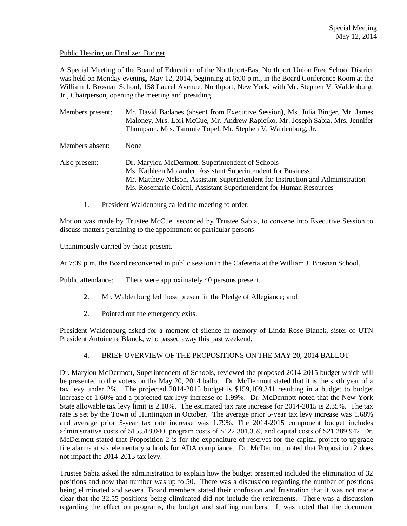### Public Hearing on Finalized Budget

A Special Meeting of the Board of Education of the Northport-East Northport Union Free School District was held on Monday evening, May 12, 2014, beginning at 6:00 p.m., in the Board Conference Room at the William J. Brosnan School, 158 Laurel Avenue, Northport, New York, with Mr. Stephen V. Waldenburg, Jr., Chairperson, opening the meeting and presiding.

Members present: Mr. David Badanes (absent from Executive Session), Ms. Julia Binger, Mr. James Maloney, Mrs. Lori McCue, Mr. Andrew Rapiejko, Mr. Joseph Sabia, Mrs. Jennifer Thompson, Mrs. Tammie Topel, Mr. Stephen V. Waldenburg, Jr.

Members absent: None

Also present: Dr. Marylou McDermott, Superintendent of Schools Ms. Kathleen Molander, Assistant Superintendent for Business Mr. Matthew Nelson, Assistant Superintendent for Instruction and Administration Ms. Rosemarie Coletti, Assistant Superintendent for Human Resources

1. President Waldenburg called the meeting to order.

Motion was made by Trustee McCue, seconded by Trustee Sabia, to convene into Executive Session to discuss matters pertaining to the appointment of particular persons

Unanimously carried by those present.

At 7:09 p.m. the Board reconvened in public session in the Cafeteria at the William J. Brosnan School.

Public attendance: There were approximately 40 persons present.

- 2. Mr. Waldenburg led those present in the Pledge of Allegiance; and
- 2. Pointed out the emergency exits.

President Waldenburg asked for a moment of silence in memory of Linda Rose Blanck, sister of UTN President Antoinette Blanck, who passed away this past weekend.

# 4. BRIEF OVERVIEW OF THE PROPOSITIONS ON THE MAY 20, 2014 BALLOT

Dr. Marylou McDermott, Superintendent of Schools, reviewed the proposed 2014-2015 budget which will be presented to the voters on the May 20, 2014 ballot. Dr. McDermott stated that it is the sixth year of a tax levy under 2%. The projected 2014-2015 budget is \$159,109,341 resulting in a budget to budget increase of 1.60% and a projected tax levy increase of 1.99%. Dr. McDermott noted that the New York State allowable tax levy limit is 2.18%. The estimated tax rate increase for 2014-2015 is 2.35%. The tax rate is set by the Town of Huntington in October. The average prior 5-year tax levy increase was 1.68% and average prior 5-year tax rate increase was 1.79%. The 2014-2015 component budget includes administrative costs of \$15,518,040, program costs of \$122,301,359, and capital costs of \$21,289,942. Dr. McDermott stated that Proposition 2 is for the expenditure of reserves for the capital project to upgrade fire alarms at six elementary schools for ADA compliance. Dr. McDermott noted that Proposition 2 does not impact the 2014-2015 tax levy.

Trustee Sabia asked the administration to explain how the budget presented included the elimination of 32 positions and now that number was up to 50. There was a discussion regarding the number of positions being eliminated and several Board members stated their confusion and frustration that it was not made clear that the 32.55 positions being eliminated did not include the retirements. There was a discussion regarding the effect on programs, the budget and staffing numbers. It was noted that the document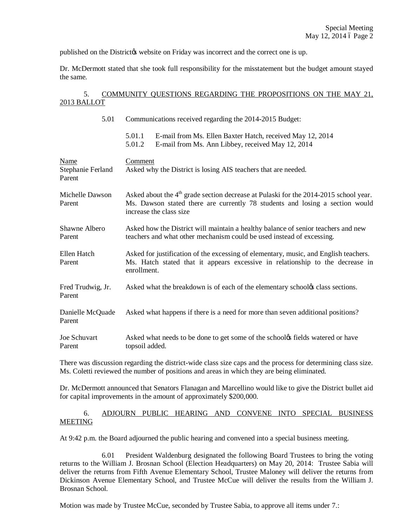published on the Districtos website on Friday was incorrect and the correct one is up.

Dr. McDermott stated that she took full responsibility for the misstatement but the budget amount stayed the same.

# 5. COMMUNITY QUESTIONS REGARDING THE PROPOSITIONS ON THE MAY 21, 2013 BALLOT

| 5.01                                | Communications received regarding the 2014-2015 Budget:                                                                                                                                                      |
|-------------------------------------|--------------------------------------------------------------------------------------------------------------------------------------------------------------------------------------------------------------|
|                                     | 5.01.1<br>E-mail from Ms. Ellen Baxter Hatch, received May 12, 2014<br>5.01.2<br>E-mail from Ms. Ann Libbey, received May 12, 2014                                                                           |
| Name<br>Stephanie Ferland<br>Parent | Comment<br>Asked why the District is losing AIS teachers that are needed.                                                                                                                                    |
| Michelle Dawson<br>Parent           | Asked about the 4 <sup>th</sup> grade section decrease at Pulaski for the 2014-2015 school year.<br>Ms. Dawson stated there are currently 78 students and losing a section would<br>increase the class size. |
| Shawne Albero<br>Parent             | Asked how the District will maintain a healthy balance of senior teachers and new<br>teachers and what other mechanism could be used instead of excessing.                                                   |
| Ellen Hatch<br>Parent               | Asked for justification of the excessing of elementary, music, and English teachers.<br>Ms. Hatch stated that it appears excessive in relationship to the decrease in<br>enrollment.                         |
| Fred Trudwig, Jr.<br>Parent         | Asked what the breakdown is of each of the elementary schooly class sections.                                                                                                                                |
| Danielle McQuade<br>Parent          | Asked what happens if there is a need for more than seven additional positions?                                                                                                                              |
| Joe Schuvart<br>Parent              | Asked what needs to be done to get some of the school& fields watered or have<br>topsoil added.                                                                                                              |
|                                     |                                                                                                                                                                                                              |

There was discussion regarding the district-wide class size caps and the process for determining class size. Ms. Coletti reviewed the number of positions and areas in which they are being eliminated.

Dr. McDermott announced that Senators Flanagan and Marcellino would like to give the District bullet aid for capital improvements in the amount of approximately \$200,000.

# 6. ADJOURN PUBLIC HEARING AND CONVENE INTO SPECIAL BUSINESS MEETING

At 9:42 p.m. the Board adjourned the public hearing and convened into a special business meeting.

6.01 President Waldenburg designated the following Board Trustees to bring the voting returns to the William J. Brosnan School (Election Headquarters) on May 20, 2014: Trustee Sabia will deliver the returns from Fifth Avenue Elementary School, Trustee Maloney will deliver the returns from Dickinson Avenue Elementary School, and Trustee McCue will deliver the results from the William J. Brosnan School.

Motion was made by Trustee McCue, seconded by Trustee Sabia, to approve all items under 7.: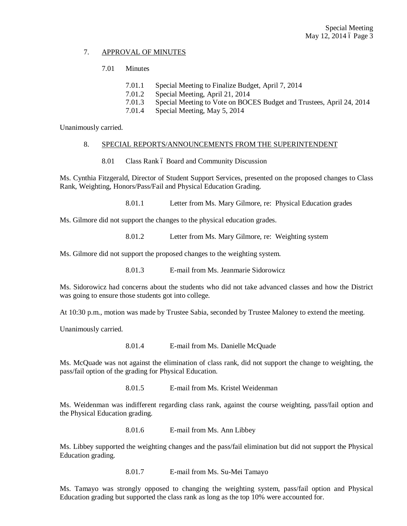### 7. APPROVAL OF MINUTES

### 7.01 Minutes

- 7.01.1 Special Meeting to Finalize Budget, April 7, 2014
- 7.01.2 Special Meeting, April 21, 2014
- 7.01.3 Special Meeting to Vote on BOCES Budget and Trustees, April 24, 2014
- 7.01.4 Special Meeting, May 5, 2014

Unanimously carried.

#### 8. SPECIAL REPORTS/ANNOUNCEMENTS FROM THE SUPERINTENDENT

8.01 Class Rank 6 Board and Community Discussion

Ms. Cynthia Fitzgerald, Director of Student Support Services, presented on the proposed changes to Class Rank, Weighting, Honors/Pass/Fail and Physical Education Grading.

8.01.1 Letter from Ms. Mary Gilmore, re: Physical Education grades

Ms. Gilmore did not support the changes to the physical education grades.

8.01.2 Letter from Ms. Mary Gilmore, re: Weighting system

Ms. Gilmore did not support the proposed changes to the weighting system.

8.01.3 E-mail from Ms. Jeanmarie Sidorowicz

Ms. Sidorowicz had concerns about the students who did not take advanced classes and how the District was going to ensure those students got into college.

At 10:30 p.m., motion was made by Trustee Sabia, seconded by Trustee Maloney to extend the meeting.

Unanimously carried.

8.01.4 E-mail from Ms. Danielle McQuade

Ms. McQuade was not against the elimination of class rank, did not support the change to weighting, the pass/fail option of the grading for Physical Education.

8.01.5 E-mail from Ms. Kristel Weidenman

Ms. Weidenman was indifferent regarding class rank, against the course weighting, pass/fail option and the Physical Education grading.

8.01.6 E-mail from Ms. Ann Libbey

Ms. Libbey supported the weighting changes and the pass/fail elimination but did not support the Physical Education grading.

8.01.7 E-mail from Ms. Su-Mei Tamayo

Ms. Tamayo was strongly opposed to changing the weighting system, pass/fail option and Physical Education grading but supported the class rank as long as the top 10% were accounted for.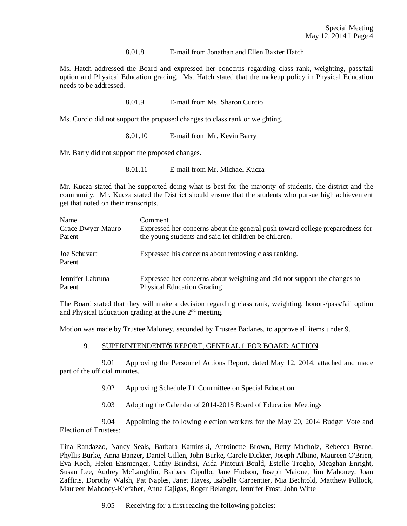#### 8.01.8 E-mail from Jonathan and Ellen Baxter Hatch

Ms. Hatch addressed the Board and expressed her concerns regarding class rank, weighting, pass/fail option and Physical Education grading. Ms. Hatch stated that the makeup policy in Physical Education needs to be addressed.

8.01.9 E-mail from Ms. Sharon Curcio

Ms. Curcio did not support the proposed changes to class rank or weighting.

8.01.10 E-mail from Mr. Kevin Barry

Mr. Barry did not support the proposed changes.

8.01.11 E-mail from Mr. Michael Kucza

Mr. Kucza stated that he supported doing what is best for the majority of students, the district and the community. Mr. Kucza stated the District should ensure that the students who pursue high achievement get that noted on their transcripts.

| Name                   | Comment                                                                       |
|------------------------|-------------------------------------------------------------------------------|
| Grace Dwyer-Mauro      | Expressed her concerns about the general push toward college preparedness for |
| Parent                 | the young students and said let children be children.                         |
| Joe Schuvart<br>Parent | Expressed his concerns about removing class ranking.                          |
| Jennifer Labruna       | Expressed her concerns about weighting and did not support the changes to     |
| Parent                 | <b>Physical Education Grading</b>                                             |

The Board stated that they will make a decision regarding class rank, weighting, honors/pass/fail option and Physical Education grading at the June 2nd meeting.

Motion was made by Trustee Maloney, seconded by Trustee Badanes, to approve all items under 9.

#### 9. SUPERINTENDENT & REPORT, GENERAL 6 FOR BOARD ACTION

9.01 Approving the Personnel Actions Report, dated May 12, 2014, attached and made part of the official minutes.

- 9.02 Approving Schedule J 6 Committee on Special Education
- 9.03 Adopting the Calendar of 2014-2015 Board of Education Meetings

9.04 Appointing the following election workers for the May 20, 2014 Budget Vote and Election of Trustees:

Tina Randazzo, Nancy Seals, Barbara Kaminski, Antoinette Brown, Betty Macholz, Rebecca Byrne, Phyllis Burke, Anna Banzer, Daniel Gillen, John Burke, Carole Dickter, Joseph Albino, Maureen O'Brien, Eva Koch, Helen Ensmenger, Cathy Brindisi, Aida Pintouri-Bould, Estelle Troglio, Meaghan Enright, Susan Lee, Audrey McLaughlin, Barbara Cipullo, Jane Hudson, Joseph Maione, Jim Mahoney, Joan Zaffiris, Dorothy Walsh, Pat Naples, Janet Hayes, Isabelle Carpentier, Mia Bechtold, Matthew Pollock, Maureen Mahoney-Kiefaber, Anne Cajigas, Roger Belanger, Jennifer Frost, John Witte

9.05 Receiving for a first reading the following policies: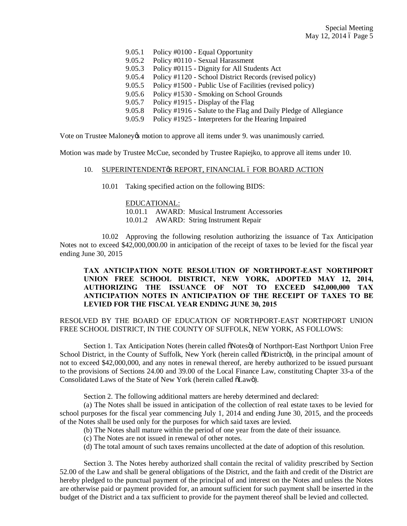9.05.1 Policy #0100 - Equal Opportunity 9.05.2 Policy #0110 - Sexual Harassment 9.05.3 Policy #0115 - Dignity for All Students Act 9.05.4 Policy #1120 - School District Records (revised policy) 9.05.5 Policy #1500 - Public Use of Facilities (revised policy) 9.05.6 Policy #1530 - Smoking on School Grounds 9.05.7 Policy #1915 - Display of the Flag 9.05.8 Policy #1916 - Salute to the Flag and Daily Pledge of Allegiance 9.05.9 Policy #1925 - Interpreters for the Hearing Impaired

Vote on Trustee Maloney *is* motion to approve all items under 9. was unanimously carried.

Motion was made by Trustee McCue, seconded by Trustee Rapiejko, to approve all items under 10.

#### 10. SUPERINTENDENT & REPORT, FINANCIAL 6 FOR BOARD ACTION

10.01 Taking specified action on the following BIDS:

#### EDUCATIONAL:

10.01.1 AWARD: Musical Instrument Accessories

10.01.2 AWARD: String Instrument Repair

10.02 Approving the following resolution authorizing the issuance of Tax Anticipation Notes not to exceed \$42,000,000.00 in anticipation of the receipt of taxes to be levied for the fiscal year ending June 30, 2015

# **TAX ANTICIPATION NOTE RESOLUTION OF NORTHPORT-EAST NORTHPORT UNION FREE SCHOOL DISTRICT, NEW YORK, ADOPTED MAY 12, 2014, AUTHORIZING THE ISSUANCE OF NOT TO EXCEED \$42,000,000 TAX ANTICIPATION NOTES IN ANTICIPATION OF THE RECEIPT OF TAXES TO BE LEVIED FOR THE FISCAL YEAR ENDING JUNE 30, 2015**

# RESOLVED BY THE BOARD OF EDUCATION OF NORTHPORT-EAST NORTHPORT UNION FREE SCHOOL DISTRICT, IN THE COUNTY OF SUFFOLK, NEW YORK, AS FOLLOWS:

Section 1. Tax Anticipation Notes (herein called  $\delta$ Notes $\delta$ ) of Northport-East Northport Union Free School District, in the County of Suffolk, New York (herein called  $\delta$ Districtö), in the principal amount of not to exceed \$42,000,000, and any notes in renewal thereof, are hereby authorized to be issued pursuant to the provisions of Sections 24.00 and 39.00 of the Local Finance Law, constituting Chapter 33-a of the Consolidated Laws of the State of New York (herein called  $\delta$ Lawö).

Section 2. The following additional matters are hereby determined and declared:

(a) The Notes shall be issued in anticipation of the collection of real estate taxes to be levied for school purposes for the fiscal year commencing July 1, 2014 and ending June 30, 2015, and the proceeds of the Notes shall be used only for the purposes for which said taxes are levied.

- (b) The Notes shall mature within the period of one year from the date of their issuance.
- (c) The Notes are not issued in renewal of other notes.
- (d) The total amount of such taxes remains uncollected at the date of adoption of this resolution.

Section 3. The Notes hereby authorized shall contain the recital of validity prescribed by Section 52.00 of the Law and shall be general obligations of the District, and the faith and credit of the District are hereby pledged to the punctual payment of the principal of and interest on the Notes and unless the Notes are otherwise paid or payment provided for, an amount sufficient for such payment shall be inserted in the budget of the District and a tax sufficient to provide for the payment thereof shall be levied and collected.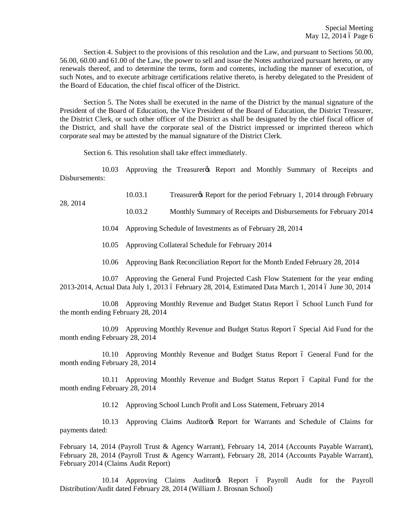Section 4. Subject to the provisions of this resolution and the Law, and pursuant to Sections 50.00, 56.00, 60.00 and 61.00 of the Law, the power to sell and issue the Notes authorized pursuant hereto, or any renewals thereof, and to determine the terms, form and contents, including the manner of execution, of such Notes, and to execute arbitrage certifications relative thereto, is hereby delegated to the President of the Board of Education, the chief fiscal officer of the District.

Section 5. The Notes shall be executed in the name of the District by the manual signature of the President of the Board of Education, the Vice President of the Board of Education, the District Treasurer, the District Clerk, or such other officer of the District as shall be designated by the chief fiscal officer of the District, and shall have the corporate seal of the District impressed or imprinted thereon which corporate seal may be attested by the manual signature of the District Clerk.

Section 6. This resolution shall take effect immediately.

28, 2014

10.03 Approving the Treasurer's Report and Monthly Summary of Receipts and Disbursements:

10.03.1 Treasurer's Report for the period February 1, 2014 through February

10.03.2 Monthly Summary of Receipts and Disbursements for February 2014

10.04 Approving Schedule of Investments as of February 28, 2014

- 10.05 Approving Collateral Schedule for February 2014
- 10.06 Approving Bank Reconciliation Report for the Month Ended February 28, 2014

10.07 Approving the General Fund Projected Cash Flow Statement for the year ending 2013-2014, Actual Data July 1, 2013 6 February 28, 2014, Estimated Data March 1, 2014 6 June 30, 2014

10.08 Approving Monthly Revenue and Budget Status Report 6 School Lunch Fund for the month ending February 28, 2014

10.09 Approving Monthly Revenue and Budget Status Report 6 Special Aid Fund for the month ending February 28, 2014

10.10 Approving Monthly Revenue and Budget Status Report 6 General Fund for the month ending February 28, 2014

10.11 Approving Monthly Revenue and Budget Status Report 6 Capital Fund for the month ending February 28, 2014

10.12 Approving School Lunch Profit and Loss Statement, February 2014

10.13 Approving Claims Auditor & Report for Warrants and Schedule of Claims for payments dated:

February 14, 2014 (Payroll Trust & Agency Warrant), February 14, 2014 (Accounts Payable Warrant), February 28, 2014 (Payroll Trust & Agency Warrant), February 28, 2014 (Accounts Payable Warrant), February 2014 (Claims Audit Report)

10.14 Approving Claims Auditor & Report 6 Payroll Audit for the Payroll Distribution/Audit dated February 28, 2014 (William J. Brosnan School)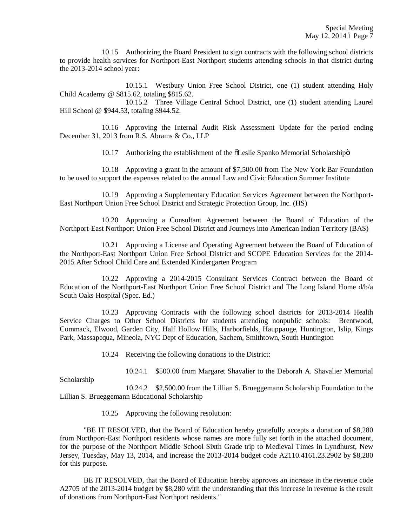10.15 Authorizing the Board President to sign contracts with the following school districts to provide health services for Northport-East Northport students attending schools in that district during the 2013-2014 school year:

10.15.1 Westbury Union Free School District, one (1) student attending Holy Child Academy @ \$815.62, totaling \$815.62.

10.15.2 Three Village Central School District, one (1) student attending Laurel Hill School @ \$944.53, totaling \$944.52.

10.16 Approving the Internal Audit Risk Assessment Update for the period ending December 31, 2013 from R.S. Abrams & Co., LLP

10.17 Authorizing the establishment of the  $\delta$ Leslie Spanko Memorial Scholarshipo

10.18 Approving a grant in the amount of \$7,500.00 from The New York Bar Foundation to be used to support the expenses related to the annual Law and Civic Education Summer Institute

10.19 Approving a Supplementary Education Services Agreement between the Northport-East Northport Union Free School District and Strategic Protection Group, Inc. (HS)

10.20 Approving a Consultant Agreement between the Board of Education of the Northport-East Northport Union Free School District and Journeys into American Indian Territory (BAS)

10.21 Approving a License and Operating Agreement between the Board of Education of the Northport-East Northport Union Free School District and SCOPE Education Services for the 2014- 2015 After School Child Care and Extended Kindergarten Program

10.22 Approving a 2014-2015 Consultant Services Contract between the Board of Education of the Northport-East Northport Union Free School District and The Long Island Home d/b/a South Oaks Hospital (Spec. Ed.)

10.23 Approving Contracts with the following school districts for 2013-2014 Health Service Charges to Other School Districts for students attending nonpublic schools: Brentwood, Commack, Elwood, Garden City, Half Hollow Hills, Harborfields, Hauppauge, Huntington, Islip, Kings Park, Massapequa, Mineola, NYC Dept of Education, Sachem, Smithtown, South Huntington

10.24 Receiving the following donations to the District:

10.24.1 \$500.00 from Margaret Shavalier to the Deborah A. Shavalier Memorial

Scholarship

10.24.2 \$2,500.00 from the Lillian S. Brueggemann Scholarship Foundation to the Lillian S. Brueggemann Educational Scholarship

10.25 Approving the following resolution:

"BE IT RESOLVED, that the Board of Education hereby gratefully accepts a donation of \$8,280 from Northport-East Northport residents whose names are more fully set forth in the attached document, for the purpose of the Northport Middle School Sixth Grade trip to Medieval Times in Lyndhurst, New Jersey, Tuesday, May 13, 2014, and increase the 2013-2014 budget code A2110.4161.23.2902 by \$8,280 for this purpose.

BE IT RESOLVED, that the Board of Education hereby approves an increase in the revenue code A2705 of the 2013-2014 budget by \$8,280 with the understanding that this increase in revenue is the result of donations from Northport-East Northport residents."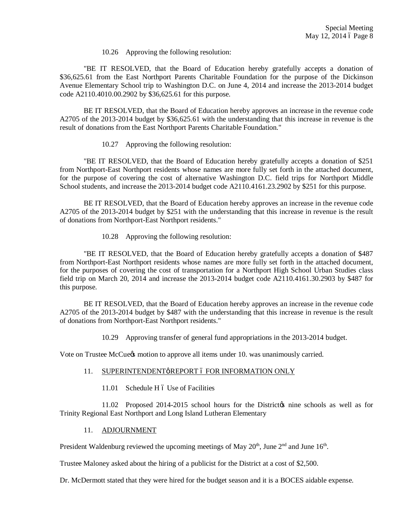10.26 Approving the following resolution:

"BE IT RESOLVED, that the Board of Education hereby gratefully accepts a donation of \$36,625.61 from the East Northport Parents Charitable Foundation for the purpose of the Dickinson Avenue Elementary School trip to Washington D.C. on June 4, 2014 and increase the 2013-2014 budget code A2110.4010.00.2902 by \$36,625.61 for this purpose.

BE IT RESOLVED, that the Board of Education hereby approves an increase in the revenue code A2705 of the 2013-2014 budget by \$36,625.61 with the understanding that this increase in revenue is the result of donations from the East Northport Parents Charitable Foundation."

10.27 Approving the following resolution:

"BE IT RESOLVED, that the Board of Education hereby gratefully accepts a donation of \$251 from Northport-East Northport residents whose names are more fully set forth in the attached document, for the purpose of covering the cost of alternative Washington D.C. field trips for Northport Middle School students, and increase the 2013-2014 budget code A2110.4161.23.2902 by \$251 for this purpose.

BE IT RESOLVED, that the Board of Education hereby approves an increase in the revenue code A2705 of the 2013-2014 budget by \$251 with the understanding that this increase in revenue is the result of donations from Northport-East Northport residents."

10.28 Approving the following resolution:

"BE IT RESOLVED, that the Board of Education hereby gratefully accepts a donation of \$487 from Northport-East Northport residents whose names are more fully set forth in the attached document, for the purposes of covering the cost of transportation for a Northport High School Urban Studies class field trip on March 20, 2014 and increase the 2013-2014 budget code A2110.4161.30.2903 by \$487 for this purpose.

BE IT RESOLVED, that the Board of Education hereby approves an increase in the revenue code A2705 of the 2013-2014 budget by \$487 with the understanding that this increase in revenue is the result of donations from Northport-East Northport residents."

10.29 Approving transfer of general fund appropriations in the 2013-2014 budget.

Vote on Trustee McCuess motion to approve all items under 10. was unanimously carried.

- 11. SUPERINTENDENT & REPORT 6 FOR INFORMATION ONLY
	- 11.01 Schedule H 6 Use of Facilities

11.02 Proposed 2014-2015 school hours for the District is nine schools as well as for Trinity Regional East Northport and Long Island Lutheran Elementary

#### 11. ADJOURNMENT

President Waldenburg reviewed the upcoming meetings of May  $20<sup>th</sup>$ , June  $2<sup>nd</sup>$  and June  $16<sup>th</sup>$ .

Trustee Maloney asked about the hiring of a publicist for the District at a cost of \$2,500.

Dr. McDermott stated that they were hired for the budget season and it is a BOCES aidable expense.